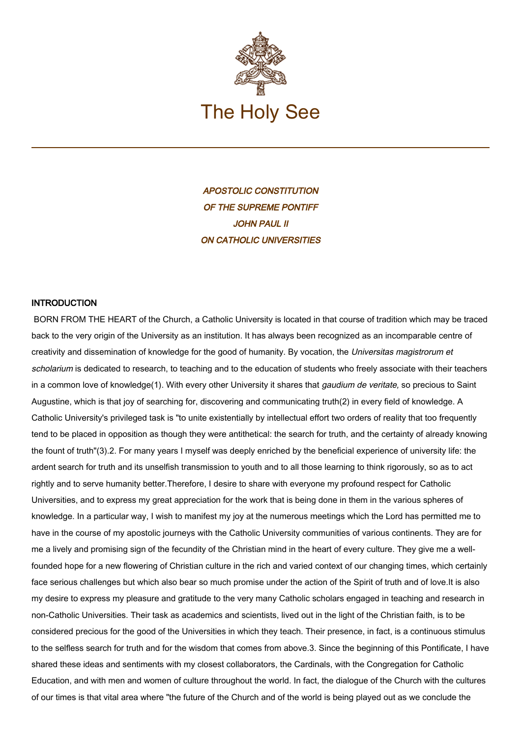

APOSTOLIC CONSTITUTION OF THE SUPREME PONTIFF JOHN PAUL II ON CATHOLIC UNIVERSITIES

#### **INTRODUCTION**

 BORN FROM THE HEART of the Church, a Catholic University is located in that course of tradition which may be traced back to the very origin of the University as an institution. It has always been recognized as an incomparable centre of creativity and dissemination of knowledge for the good of humanity. By vocation, the Universitas magistrorum et scholarium is dedicated to research, to teaching and to the education of students who freely associate with their teachers in a common love of knowledge(1). With every other University it shares that gaudium de veritate, so precious to Saint Augustine, which is that joy of searching for, discovering and communicating truth(2) in every field of knowledge. A Catholic University's privileged task is "to unite existentially by intellectual effort two orders of reality that too frequently tend to be placed in opposition as though they were antithetical: the search for truth, and the certainty of already knowing the fount of truth"(3).2. For many years I myself was deeply enriched by the beneficial experience of university life: the ardent search for truth and its unselfish transmission to youth and to all those learning to think rigorously, so as to act rightly and to serve humanity better.Therefore, I desire to share with everyone my profound respect for Catholic Universities, and to express my great appreciation for the work that is being done in them in the various spheres of knowledge. In a particular way, I wish to manifest my joy at the numerous meetings which the Lord has permitted me to have in the course of my apostolic journeys with the Catholic University communities of various continents. They are for me a lively and promising sign of the fecundity of the Christian mind in the heart of every culture. They give me a wellfounded hope for a new flowering of Christian culture in the rich and varied context of our changing times, which certainly face serious challenges but which also bear so much promise under the action of the Spirit of truth and of love.It is also my desire to express my pleasure and gratitude to the very many Catholic scholars engaged in teaching and research in non-Catholic Universities. Their task as academics and scientists, lived out in the light of the Christian faith, is to be considered precious for the good of the Universities in which they teach. Their presence, in fact, is a continuous stimulus to the selfless search for truth and for the wisdom that comes from above.3. Since the beginning of this Pontificate, I have shared these ideas and sentiments with my closest collaborators, the Cardinals, with the Congregation for Catholic Education, and with men and women of culture throughout the world. In fact, the dialogue of the Church with the cultures of our times is that vital area where "the future of the Church and of the world is being played out as we conclude the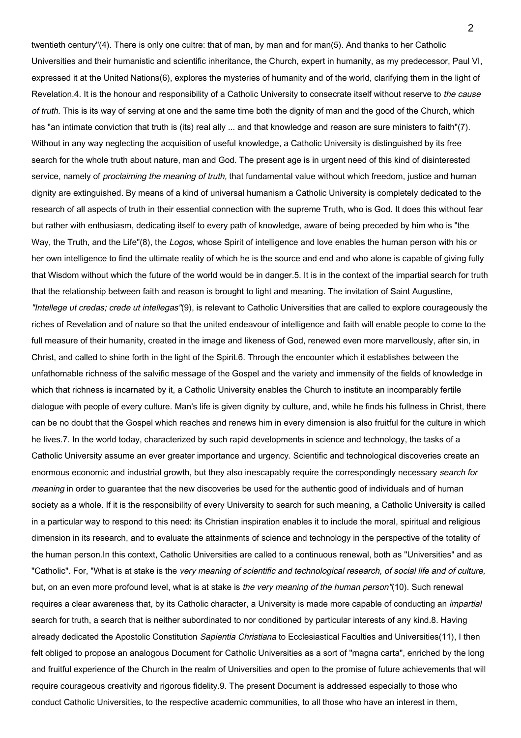twentieth century"(4). There is only one cultre: that of man, by man and for man(5). And thanks to her Catholic Universities and their humanistic and scientific inheritance, the Church, expert in humanity, as my predecessor, Paul VI, expressed it at the United Nations(6), explores the mysteries of humanity and of the world, clarifying them in the light of Revelation.4. It is the honour and responsibility of a Catholic University to consecrate itself without reserve to the cause of truth. This is its way of serving at one and the same time both the dignity of man and the good of the Church, which has "an intimate conviction that truth is (its) real ally ... and that knowledge and reason are sure ministers to faith"(7). Without in any way neglecting the acquisition of useful knowledge, a Catholic University is distinguished by its free search for the whole truth about nature, man and God. The present age is in urgent need of this kind of disinterested service, namely of proclaiming the meaning of truth, that fundamental value without which freedom, justice and human dignity are extinguished. By means of a kind of universal humanism a Catholic University is completely dedicated to the research of all aspects of truth in their essential connection with the supreme Truth, who is God. It does this without fear but rather with enthusiasm, dedicating itself to every path of knowledge, aware of being preceded by him who is "the Way, the Truth, and the Life"(8), the Logos, whose Spirit of intelligence and love enables the human person with his or her own intelligence to find the ultimate reality of which he is the source and end and who alone is capable of giving fully that Wisdom without which the future of the world would be in danger.5. It is in the context of the impartial search for truth that the relationship between faith and reason is brought to light and meaning. The invitation of Saint Augustine, "Intellege ut credas; crede ut intellegas"(9), is relevant to Catholic Universities that are called to explore courageously the riches of Revelation and of nature so that the united endeavour of intelligence and faith will enable people to come to the full measure of their humanity, created in the image and likeness of God, renewed even more marvellously, after sin, in Christ, and called to shine forth in the light of the Spirit.6. Through the encounter which it establishes between the unfathomable richness of the salvific message of the Gospel and the variety and immensity of the fields of knowledge in which that richness is incarnated by it, a Catholic University enables the Church to institute an incomparably fertile dialogue with people of every culture. Man's life is given dignity by culture, and, while he finds his fullness in Christ, there can be no doubt that the Gospel which reaches and renews him in every dimension is also fruitful for the culture in which he lives.7. In the world today, characterized by such rapid developments in science and technology, the tasks of a Catholic University assume an ever greater importance and urgency. Scientific and technological discoveries create an enormous economic and industrial growth, but they also inescapably require the correspondingly necessary search for meaning in order to guarantee that the new discoveries be used for the authentic good of individuals and of human society as a whole. If it is the responsibility of every University to search for such meaning, a Catholic University is called in a particular way to respond to this need: its Christian inspiration enables it to include the moral, spiritual and religious dimension in its research, and to evaluate the attainments of science and technology in the perspective of the totality of the human person.In this context, Catholic Universities are called to a continuous renewal, both as "Universities" and as "Catholic". For, "What is at stake is the very meaning of scientific and technological research, of social life and of culture, but, on an even more profound level, what is at stake is the very meaning of the human person"(10). Such renewal requires a clear awareness that, by its Catholic character, a University is made more capable of conducting an *impartial* search for truth, a search that is neither subordinated to nor conditioned by particular interests of any kind.8. Having already dedicated the Apostolic Constitution Sapientia Christiana to Ecclesiastical Faculties and Universities(11), I then felt obliged to propose an analogous Document for Catholic Universities as a sort of "magna carta", enriched by the long and fruitful experience of the Church in the realm of Universities and open to the promise of future achievements that will require courageous creativity and rigorous fidelity.9. The present Document is addressed especially to those who conduct Catholic Universities, to the respective academic communities, to all those who have an interest in them,

 $\mathfrak{p}$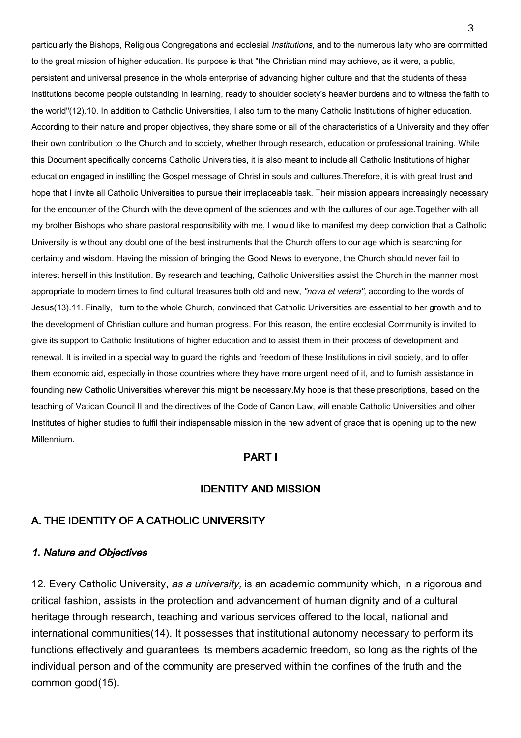particularly the Bishops, Religious Congregations and ecclesial Institutions, and to the numerous laity who are committed to the great mission of higher education. Its purpose is that "the Christian mind may achieve, as it were, a public, persistent and universal presence in the whole enterprise of advancing higher culture and that the students of these institutions become people outstanding in learning, ready to shoulder society's heavier burdens and to witness the faith to the world"(12).10. In addition to Catholic Universities, I also turn to the many Catholic Institutions of higher education. According to their nature and proper objectives, they share some or all of the characteristics of a University and they offer their own contribution to the Church and to society, whether through research, education or professional training. While this Document specifically concerns Catholic Universities, it is also meant to include all Catholic Institutions of higher education engaged in instilling the Gospel message of Christ in souls and cultures.Therefore, it is with great trust and hope that I invite all Catholic Universities to pursue their irreplaceable task. Their mission appears increasingly necessary for the encounter of the Church with the development of the sciences and with the cultures of our age.Together with all my brother Bishops who share pastoral responsibility with me, I would like to manifest my deep conviction that a Catholic University is without any doubt one of the best instruments that the Church offers to our age which is searching for certainty and wisdom. Having the mission of bringing the Good News to everyone, the Church should never fail to interest herself in this Institution. By research and teaching, Catholic Universities assist the Church in the manner most appropriate to modern times to find cultural treasures both old and new, "nova et vetera", according to the words of Jesus(13).11. Finally, I turn to the whole Church, convinced that Catholic Universities are essential to her growth and to the development of Christian culture and human progress. For this reason, the entire ecclesial Community is invited to give its support to Catholic Institutions of higher education and to assist them in their process of development and renewal. It is invited in a special way to guard the rights and freedom of these Institutions in civil society, and to offer them economic aid, especially in those countries where they have more urgent need of it, and to furnish assistance in founding new Catholic Universities wherever this might be necessary.My hope is that these prescriptions, based on the teaching of Vatican Council II and the directives of the Code of Canon Law, will enable Catholic Universities and other Institutes of higher studies to fulfil their indispensable mission in the new advent of grace that is opening up to the new Millennium.

#### PART I

#### IDENTITY AND MISSION

### A. THE IDENTITY OF A CATHOLIC UNIVERSITY

#### 1. Nature and Objectives

12. Every Catholic University, as a university, is an academic community which, in a rigorous and critical fashion, assists in the protection and advancement of human dignity and of a cultural heritage through research, teaching and various services offered to the local, national and international communities(14). It possesses that institutional autonomy necessary to perform its functions effectively and guarantees its members academic freedom, so long as the rights of the individual person and of the community are preserved within the confines of the truth and the common good(15).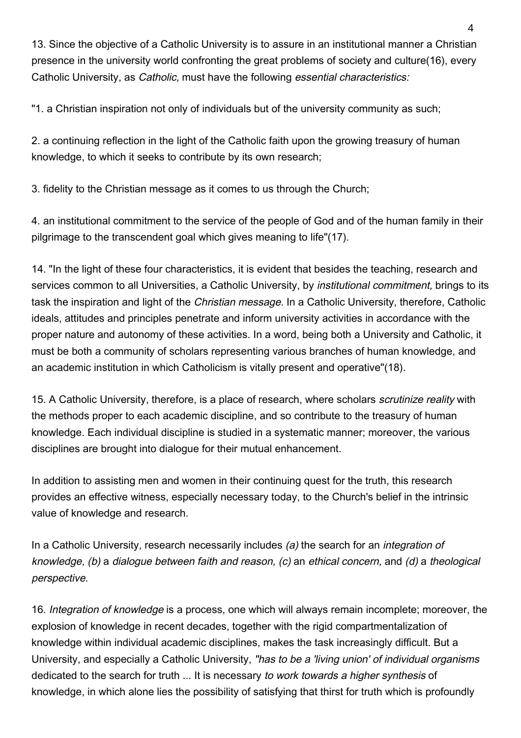13. Since the objective of a Catholic University is to assure in an institutional manner a Christian presence in the university world confronting the great problems of society and culture(16), every Catholic University, as Catholic, must have the following essential characteristics:

"1. a Christian inspiration not only of individuals but of the university community as such;

2. a continuing reflection in the light of the Catholic faith upon the growing treasury of human knowledge, to which it seeks to contribute by its own research;

3. fidelity to the Christian message as it comes to us through the Church;

4. an institutional commitment to the service of the people of God and of the human family in their pilgrimage to the transcendent goal which gives meaning to life"(17).

14. "In the light of these four characteristics, it is evident that besides the teaching, research and services common to all Universities, a Catholic University, by *institutional commitment*, brings to its task the inspiration and light of the Christian message. In a Catholic University, therefore, Catholic ideals, attitudes and principles penetrate and inform university activities in accordance with the proper nature and autonomy of these activities. In a word, being both a University and Catholic, it must be both a community of scholars representing various branches of human knowledge, and an academic institution in which Catholicism is vitally present and operative"(18).

15. A Catholic University, therefore, is a place of research, where scholars *scrutinize reality* with the methods proper to each academic discipline, and so contribute to the treasury of human knowledge. Each individual discipline is studied in a systematic manner; moreover, the various disciplines are brought into dialogue for their mutual enhancement.

In addition to assisting men and women in their continuing quest for the truth, this research provides an effective witness, especially necessary today, to the Church's belief in the intrinsic value of knowledge and research.

In a Catholic University, research necessarily includes (a) the search for an *integration of* knowledge, (b) a dialogue between faith and reason, (c) an ethical concern, and (d) a theological perspective.

16. Integration of knowledge is a process, one which will always remain incomplete; moreover, the explosion of knowledge in recent decades, together with the rigid compartmentalization of knowledge within individual academic disciplines, makes the task increasingly difficult. But a University, and especially a Catholic University, "has to be a 'living union' of individual organisms dedicated to the search for truth ... It is necessary to work towards a higher synthesis of knowledge, in which alone lies the possibility of satisfying that thirst for truth which is profoundly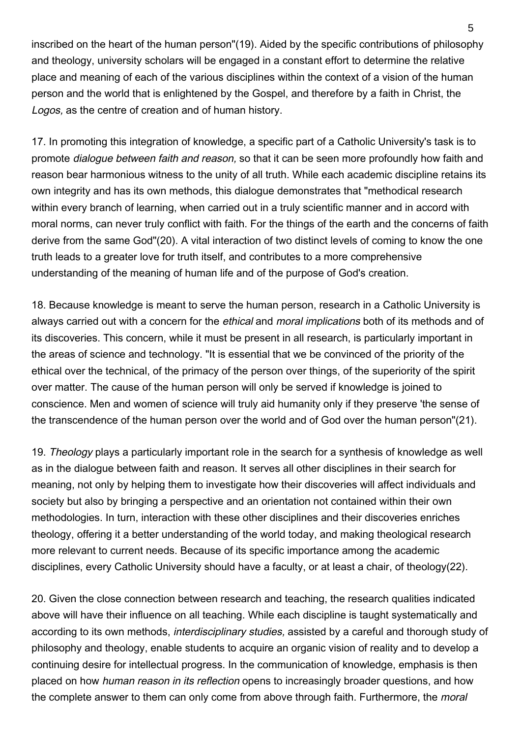inscribed on the heart of the human person"(19). Aided by the specific contributions of philosophy and theology, university scholars will be engaged in a constant effort to determine the relative place and meaning of each of the various disciplines within the context of a vision of the human person and the world that is enlightened by the Gospel, and therefore by a faith in Christ, the Logos, as the centre of creation and of human history.

17. In promoting this integration of knowledge, a specific part of a Catholic University's task is to promote dialogue between faith and reason, so that it can be seen more profoundly how faith and reason bear harmonious witness to the unity of all truth. While each academic discipline retains its own integrity and has its own methods, this dialogue demonstrates that "methodical research within every branch of learning, when carried out in a truly scientific manner and in accord with moral norms, can never truly conflict with faith. For the things of the earth and the concerns of faith derive from the same God"(20). A vital interaction of two distinct levels of coming to know the one truth leads to a greater love for truth itself, and contributes to a more comprehensive understanding of the meaning of human life and of the purpose of God's creation.

18. Because knowledge is meant to serve the human person, research in a Catholic University is always carried out with a concern for the ethical and moral implications both of its methods and of its discoveries. This concern, while it must be present in all research, is particularly important in the areas of science and technology. "It is essential that we be convinced of the priority of the ethical over the technical, of the primacy of the person over things, of the superiority of the spirit over matter. The cause of the human person will only be served if knowledge is joined to conscience. Men and women of science will truly aid humanity only if they preserve 'the sense of the transcendence of the human person over the world and of God over the human person"(21).

19. Theology plays a particularly important role in the search for a synthesis of knowledge as well as in the dialogue between faith and reason. It serves all other disciplines in their search for meaning, not only by helping them to investigate how their discoveries will affect individuals and society but also by bringing a perspective and an orientation not contained within their own methodologies. In turn, interaction with these other disciplines and their discoveries enriches theology, offering it a better understanding of the world today, and making theological research more relevant to current needs. Because of its specific importance among the academic disciplines, every Catholic University should have a faculty, or at least a chair, of theology(22).

20. Given the close connection between research and teaching, the research qualities indicated above will have their influence on all teaching. While each discipline is taught systematically and according to its own methods, interdisciplinary studies, assisted by a careful and thorough study of philosophy and theology, enable students to acquire an organic vision of reality and to develop a continuing desire for intellectual progress. In the communication of knowledge, emphasis is then placed on how human reason in its reflection opens to increasingly broader questions, and how the complete answer to them can only come from above through faith. Furthermore, the *moral*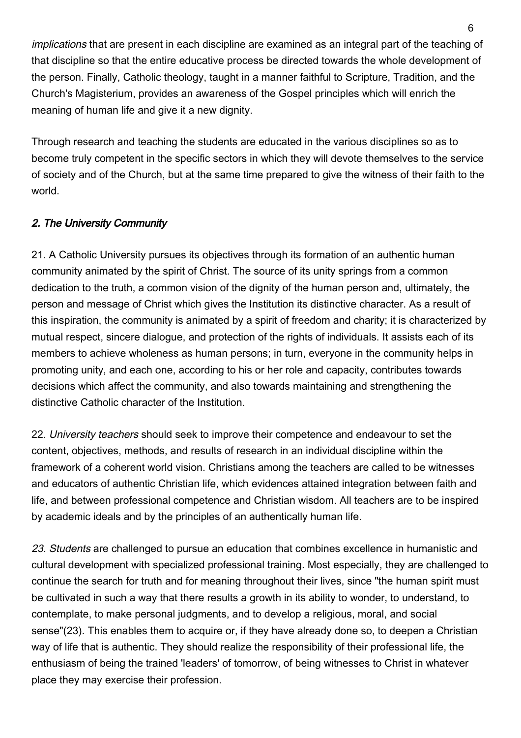implications that are present in each discipline are examined as an integral part of the teaching of that discipline so that the entire educative process be directed towards the whole development of the person. Finally, Catholic theology, taught in a manner faithful to Scripture, Tradition, and the Church's Magisterium, provides an awareness of the Gospel principles which will enrich the meaning of human life and give it a new dignity.

Through research and teaching the students are educated in the various disciplines so as to become truly competent in the specific sectors in which they will devote themselves to the service of society and of the Church, but at the same time prepared to give the witness of their faith to the world.

## 2. The University Community

21. A Catholic University pursues its objectives through its formation of an authentic human community animated by the spirit of Christ. The source of its unity springs from a common dedication to the truth, a common vision of the dignity of the human person and, ultimately, the person and message of Christ which gives the Institution its distinctive character. As a result of this inspiration, the community is animated by a spirit of freedom and charity; it is characterized by mutual respect, sincere dialogue, and protection of the rights of individuals. It assists each of its members to achieve wholeness as human persons; in turn, everyone in the community helps in promoting unity, and each one, according to his or her role and capacity, contributes towards decisions which affect the community, and also towards maintaining and strengthening the distinctive Catholic character of the Institution.

22. University teachers should seek to improve their competence and endeavour to set the content, objectives, methods, and results of research in an individual discipline within the framework of a coherent world vision. Christians among the teachers are called to be witnesses and educators of authentic Christian life, which evidences attained integration between faith and life, and between professional competence and Christian wisdom. All teachers are to be inspired by academic ideals and by the principles of an authentically human life.

23. Students are challenged to pursue an education that combines excellence in humanistic and cultural development with specialized professional training. Most especially, they are challenged to continue the search for truth and for meaning throughout their lives, since "the human spirit must be cultivated in such a way that there results a growth in its ability to wonder, to understand, to contemplate, to make personal judgments, and to develop a religious, moral, and social sense"(23). This enables them to acquire or, if they have already done so, to deepen a Christian way of life that is authentic. They should realize the responsibility of their professional life, the enthusiasm of being the trained 'leaders' of tomorrow, of being witnesses to Christ in whatever place they may exercise their profession.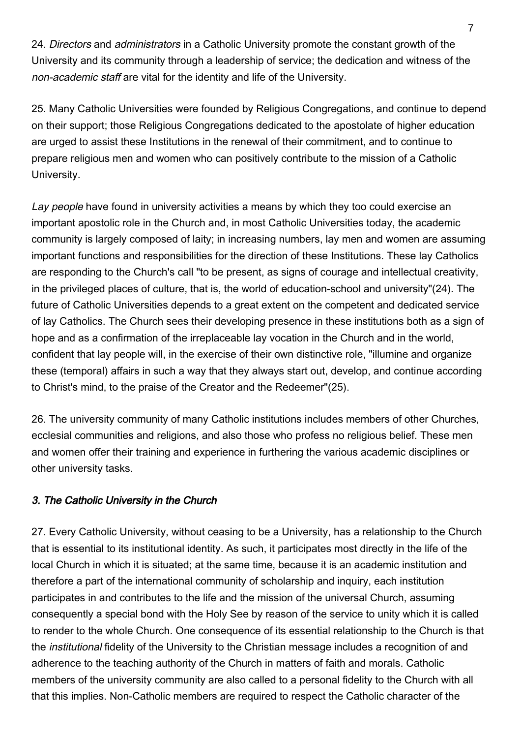24. Directors and *administrators* in a Catholic University promote the constant growth of the University and its community through a leadership of service; the dedication and witness of the non-academic staff are vital for the identity and life of the University.

25. Many Catholic Universities were founded by Religious Congregations, and continue to depend on their support; those Religious Congregations dedicated to the apostolate of higher education are urged to assist these Institutions in the renewal of their commitment, and to continue to prepare religious men and women who can positively contribute to the mission of a Catholic University.

Lay people have found in university activities a means by which they too could exercise an important apostolic role in the Church and, in most Catholic Universities today, the academic community is largely composed of laity; in increasing numbers, lay men and women are assuming important functions and responsibilities for the direction of these Institutions. These lay Catholics are responding to the Church's call "to be present, as signs of courage and intellectual creativity, in the privileged places of culture, that is, the world of education-school and university"(24). The future of Catholic Universities depends to a great extent on the competent and dedicated service of lay Catholics. The Church sees their developing presence in these institutions both as a sign of hope and as a confirmation of the irreplaceable lay vocation in the Church and in the world, confident that lay people will, in the exercise of their own distinctive role, "illumine and organize these (temporal) affairs in such a way that they always start out, develop, and continue according to Christ's mind, to the praise of the Creator and the Redeemer"(25).

26. The university community of many Catholic institutions includes members of other Churches, ecclesial communities and religions, and also those who profess no religious belief. These men and women offer their training and experience in furthering the various academic disciplines or other university tasks.

## 3. The Catholic University in the Church

27. Every Catholic University, without ceasing to be a University, has a relationship to the Church that is essential to its institutional identity. As such, it participates most directly in the life of the local Church in which it is situated; at the same time, because it is an academic institution and therefore a part of the international community of scholarship and inquiry, each institution participates in and contributes to the life and the mission of the universal Church, assuming consequently a special bond with the Holy See by reason of the service to unity which it is called to render to the whole Church. One consequence of its essential relationship to the Church is that the institutional fidelity of the University to the Christian message includes a recognition of and adherence to the teaching authority of the Church in matters of faith and morals. Catholic members of the university community are also called to a personal fidelity to the Church with all that this implies. Non-Catholic members are required to respect the Catholic character of the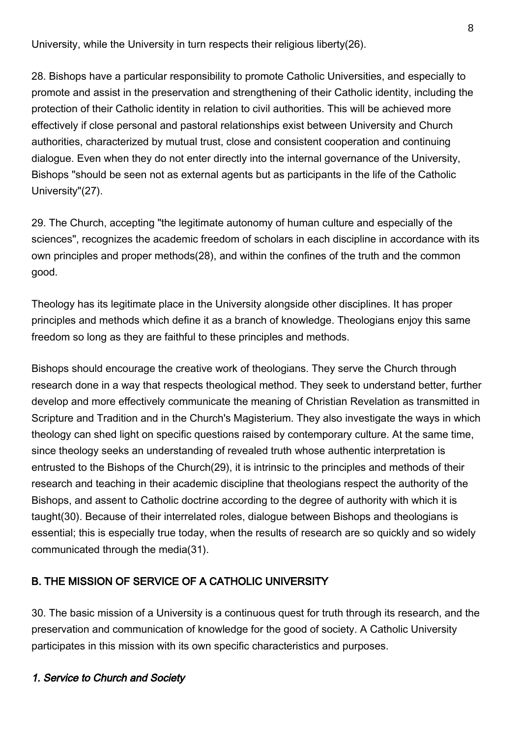University, while the University in turn respects their religious liberty(26).

28. Bishops have a particular responsibility to promote Catholic Universities, and especially to promote and assist in the preservation and strengthening of their Catholic identity, including the protection of their Catholic identity in relation to civil authorities. This will be achieved more effectively if close personal and pastoral relationships exist between University and Church authorities, characterized by mutual trust, close and consistent cooperation and continuing dialogue. Even when they do not enter directly into the internal governance of the University, Bishops "should be seen not as external agents but as participants in the life of the Catholic University"(27).

29. The Church, accepting "the legitimate autonomy of human culture and especially of the sciences", recognizes the academic freedom of scholars in each discipline in accordance with its own principles and proper methods(28), and within the confines of the truth and the common good.

Theology has its legitimate place in the University alongside other disciplines. It has proper principles and methods which define it as a branch of knowledge. Theologians enjoy this same freedom so long as they are faithful to these principles and methods.

Bishops should encourage the creative work of theologians. They serve the Church through research done in a way that respects theological method. They seek to understand better, further develop and more effectively communicate the meaning of Christian Revelation as transmitted in Scripture and Tradition and in the Church's Magisterium. They also investigate the ways in which theology can shed light on specific questions raised by contemporary culture. At the same time, since theology seeks an understanding of revealed truth whose authentic interpretation is entrusted to the Bishops of the Church(29), it is intrinsic to the principles and methods of their research and teaching in their academic discipline that theologians respect the authority of the Bishops, and assent to Catholic doctrine according to the degree of authority with which it is taught(30). Because of their interrelated roles, dialogue between Bishops and theologians is essential; this is especially true today, when the results of research are so quickly and so widely communicated through the media(31).

# B. THE MISSION OF SERVICE OF A CATHOLIC UNIVERSITY

30. The basic mission of a University is a continuous quest for truth through its research, and the preservation and communication of knowledge for the good of society. A Catholic University participates in this mission with its own specific characteristics and purposes.

## 1. Service to Church and Society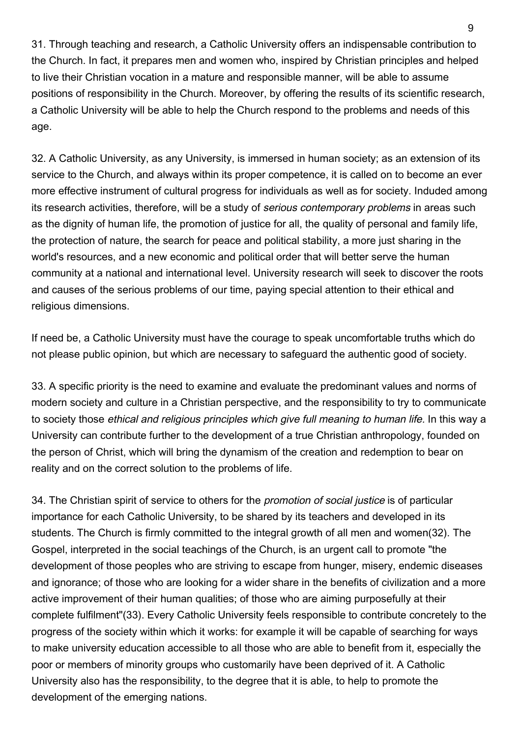31. Through teaching and research, a Catholic University offers an indispensable contribution to the Church. In fact, it prepares men and women who, inspired by Christian principles and helped to live their Christian vocation in a mature and responsible manner, will be able to assume positions of responsibility in the Church. Moreover, by offering the results of its scientific research, a Catholic University will be able to help the Church respond to the problems and needs of this age.

32. A Catholic University, as any University, is immersed in human society; as an extension of its service to the Church, and always within its proper competence, it is called on to become an ever more effective instrument of cultural progress for individuals as well as for society. Induded among its research activities, therefore, will be a study of serious contemporary problems in areas such as the dignity of human life, the promotion of justice for all, the quality of personal and family life, the protection of nature, the search for peace and political stability, a more just sharing in the world's resources, and a new economic and political order that will better serve the human community at a national and international level. University research will seek to discover the roots and causes of the serious problems of our time, paying special attention to their ethical and religious dimensions.

If need be, a Catholic University must have the courage to speak uncomfortable truths which do not please public opinion, but which are necessary to safeguard the authentic good of society.

33. A specific priority is the need to examine and evaluate the predominant values and norms of modern society and culture in a Christian perspective, and the responsibility to try to communicate to society those ethical and religious principles which give full meaning to human life. In this way a University can contribute further to the development of a true Christian anthropology, founded on the person of Christ, which will bring the dynamism of the creation and redemption to bear on reality and on the correct solution to the problems of life.

34. The Christian spirit of service to others for the *promotion of social justice* is of particular importance for each Catholic University, to be shared by its teachers and developed in its students. The Church is firmly committed to the integral growth of all men and women(32). The Gospel, interpreted in the social teachings of the Church, is an urgent call to promote "the development of those peoples who are striving to escape from hunger, misery, endemic diseases and ignorance; of those who are looking for a wider share in the benefits of civilization and a more active improvement of their human qualities; of those who are aiming purposefully at their complete fulfilment"(33). Every Catholic University feels responsible to contribute concretely to the progress of the society within which it works: for example it will be capable of searching for ways to make university education accessible to all those who are able to benefit from it, especially the poor or members of minority groups who customarily have been deprived of it. A Catholic University also has the responsibility, to the degree that it is able, to help to promote the development of the emerging nations.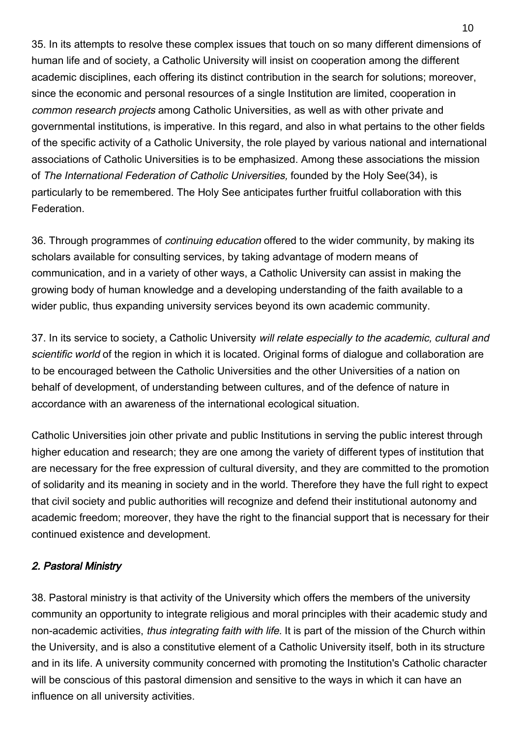35. In its attempts to resolve these complex issues that touch on so many different dimensions of human life and of society, a Catholic University will insist on cooperation among the different academic disciplines, each offering its distinct contribution in the search for solutions; moreover, since the economic and personal resources of a single Institution are limited, cooperation in common research projects among Catholic Universities, as well as with other private and governmental institutions, is imperative. In this regard, and also in what pertains to the other fields of the specific activity of a Catholic University, the role played by various national and international associations of Catholic Universities is to be emphasized. Among these associations the mission of The International Federation of Catholic Universities, founded by the Holy See(34), is particularly to be remembered. The Holy See anticipates further fruitful collaboration with this **Federation** 

36. Through programmes of *continuing education* offered to the wider community, by making its scholars available for consulting services, by taking advantage of modern means of communication, and in a variety of other ways, a Catholic University can assist in making the growing body of human knowledge and a developing understanding of the faith available to a wider public, thus expanding university services beyond its own academic community.

37. In its service to society, a Catholic University will relate especially to the academic, cultural and scientific world of the region in which it is located. Original forms of dialogue and collaboration are to be encouraged between the Catholic Universities and the other Universities of a nation on behalf of development, of understanding between cultures, and of the defence of nature in accordance with an awareness of the international ecological situation.

Catholic Universities join other private and public Institutions in serving the public interest through higher education and research; they are one among the variety of different types of institution that are necessary for the free expression of cultural diversity, and they are committed to the promotion of solidarity and its meaning in society and in the world. Therefore they have the full right to expect that civil society and public authorities will recognize and defend their institutional autonomy and academic freedom; moreover, they have the right to the financial support that is necessary for their continued existence and development.

### 2. Pastoral Ministry

38. Pastoral ministry is that activity of the University which offers the members of the university community an opportunity to integrate religious and moral principles with their academic study and non-academic activities, thus integrating faith with life. It is part of the mission of the Church within the University, and is also a constitutive element of a Catholic University itself, both in its structure and in its life. A university community concerned with promoting the Institution's Catholic character will be conscious of this pastoral dimension and sensitive to the ways in which it can have an influence on all university activities.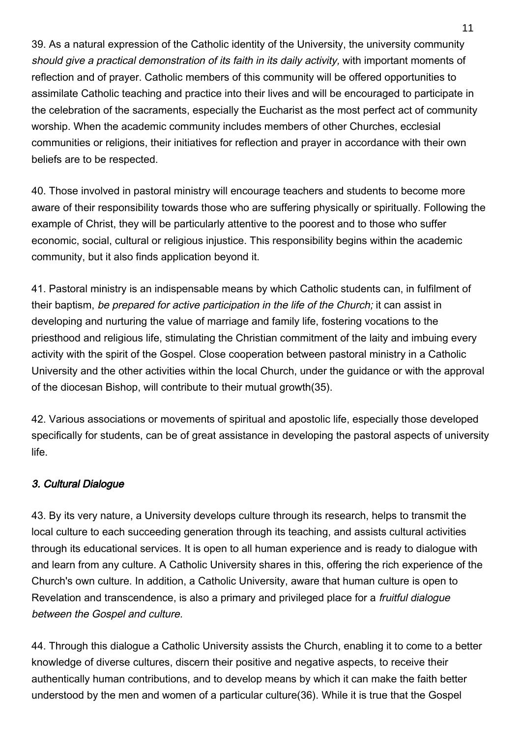39. As a natural expression of the Catholic identity of the University, the university community should give a practical demonstration of its faith in its daily activity, with important moments of reflection and of prayer. Catholic members of this community will be offered opportunities to assimilate Catholic teaching and practice into their lives and will be encouraged to participate in the celebration of the sacraments, especially the Eucharist as the most perfect act of community worship. When the academic community includes members of other Churches, ecclesial communities or religions, their initiatives for reflection and prayer in accordance with their own beliefs are to be respected.

40. Those involved in pastoral ministry will encourage teachers and students to become more aware of their responsibility towards those who are suffering physically or spiritually. Following the example of Christ, they will be particularly attentive to the poorest and to those who suffer economic, social, cultural or religious injustice. This responsibility begins within the academic community, but it also finds application beyond it.

41. Pastoral ministry is an indispensable means by which Catholic students can, in fulfilment of their baptism, be prepared for active participation in the life of the Church; it can assist in developing and nurturing the value of marriage and family life, fostering vocations to the priesthood and religious life, stimulating the Christian commitment of the laity and imbuing every activity with the spirit of the Gospel. Close cooperation between pastoral ministry in a Catholic University and the other activities within the local Church, under the guidance or with the approval of the diocesan Bishop, will contribute to their mutual growth(35).

42. Various associations or movements of spiritual and apostolic life, especially those developed specifically for students, can be of great assistance in developing the pastoral aspects of university life.

## 3. Cultural Dialogue

43. By its very nature, a University develops culture through its research, helps to transmit the local culture to each succeeding generation through its teaching, and assists cultural activities through its educational services. It is open to all human experience and is ready to dialogue with and learn from any culture. A Catholic University shares in this, offering the rich experience of the Church's own culture. In addition, a Catholic University, aware that human culture is open to Revelation and transcendence, is also a primary and privileged place for a fruitful dialogue between the Gospel and culture.

44. Through this dialogue a Catholic University assists the Church, enabling it to come to a better knowledge of diverse cultures, discern their positive and negative aspects, to receive their authentically human contributions, and to develop means by which it can make the faith better understood by the men and women of a particular culture(36). While it is true that the Gospel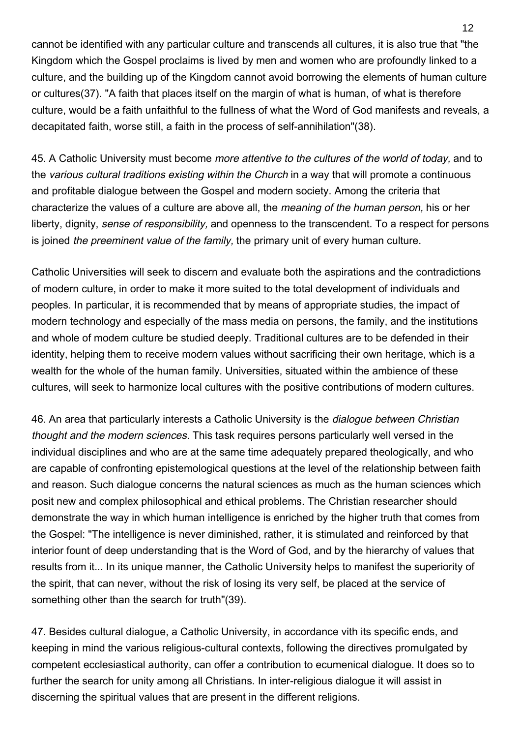cannot be identified with any particular culture and transcends all cultures, it is also true that "the Kingdom which the Gospel proclaims is lived by men and women who are profoundly linked to a culture, and the building up of the Kingdom cannot avoid borrowing the elements of human culture or cultures(37). "A faith that places itself on the margin of what is human, of what is therefore culture, would be a faith unfaithful to the fullness of what the Word of God manifests and reveals, a decapitated faith, worse still, a faith in the process of self-annihilation"(38).

45. A Catholic University must become more attentive to the cultures of the world of today, and to the various cultural traditions existing within the Church in a way that will promote a continuous and profitable dialogue between the Gospel and modern society. Among the criteria that characterize the values of a culture are above all, the meaning of the human person, his or her liberty, dignity, sense of responsibility, and openness to the transcendent. To a respect for persons is joined the preeminent value of the family, the primary unit of every human culture.

Catholic Universities will seek to discern and evaluate both the aspirations and the contradictions of modern culture, in order to make it more suited to the total development of individuals and peoples. In particular, it is recommended that by means of appropriate studies, the impact of modern technology and especially of the mass media on persons, the family, and the institutions and whole of modem culture be studied deeply. Traditional cultures are to be defended in their identity, helping them to receive modern values without sacrificing their own heritage, which is a wealth for the whole of the human family. Universities, situated within the ambience of these cultures, will seek to harmonize local cultures with the positive contributions of modern cultures.

46. An area that particularly interests a Catholic University is the *dialogue between Christian* thought and the modern sciences. This task requires persons particularly well versed in the individual disciplines and who are at the same time adequately prepared theologically, and who are capable of confronting epistemological questions at the level of the relationship between faith and reason. Such dialogue concerns the natural sciences as much as the human sciences which posit new and complex philosophical and ethical problems. The Christian researcher should demonstrate the way in which human intelligence is enriched by the higher truth that comes from the Gospel: "The intelligence is never diminished, rather, it is stimulated and reinforced by that interior fount of deep understanding that is the Word of God, and by the hierarchy of values that results from it... In its unique manner, the Catholic University helps to manifest the superiority of the spirit, that can never, without the risk of losing its very self, be placed at the service of something other than the search for truth"(39).

47. Besides cultural dialogue, a Catholic University, in accordance vith its specific ends, and keeping in mind the various religious-cultural contexts, following the directives promulgated by competent ecclesiastical authority, can offer a contribution to ecumenical dialogue. It does so to further the search for unity among all Christians. In inter-religious dialogue it will assist in discerning the spiritual values that are present in the different religions.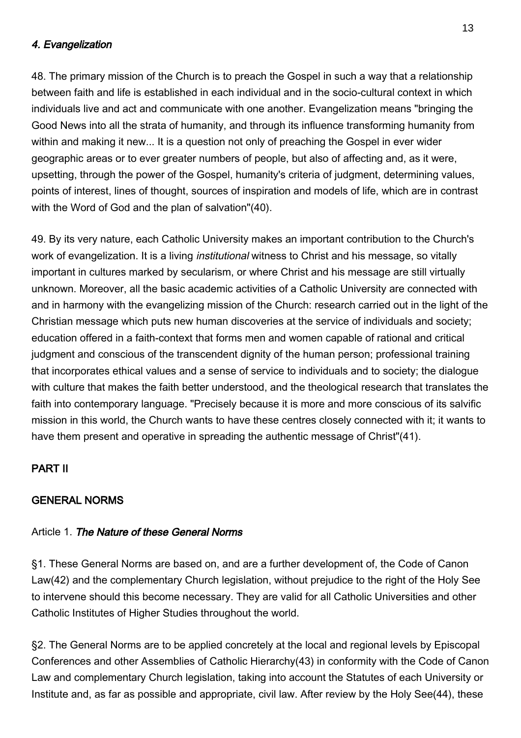### 4. Evangelization

48. The primary mission of the Church is to preach the Gospel in such a way that a relationship between faith and life is established in each individual and in the socio-cultural context in which individuals live and act and communicate with one another. Evangelization means "bringing the Good News into all the strata of humanity, and through its influence transforming humanity from within and making it new... It is a question not only of preaching the Gospel in ever wider geographic areas or to ever greater numbers of people, but also of affecting and, as it were, upsetting, through the power of the Gospel, humanity's criteria of judgment, determining values, points of interest, lines of thought, sources of inspiration and models of life, which are in contrast with the Word of God and the plan of salvation"(40).

49. By its very nature, each Catholic University makes an important contribution to the Church's work of evangelization. It is a living *institutional* witness to Christ and his message, so vitally important in cultures marked by secularism, or where Christ and his message are still virtually unknown. Moreover, all the basic academic activities of a Catholic University are connected with and in harmony with the evangelizing mission of the Church: research carried out in the light of the Christian message which puts new human discoveries at the service of individuals and society; education offered in a faith-context that forms men and women capable of rational and critical judgment and conscious of the transcendent dignity of the human person; professional training that incorporates ethical values and a sense of service to individuals and to society; the dialogue with culture that makes the faith better understood, and the theological research that translates the faith into contemporary language. "Precisely because it is more and more conscious of its salvific mission in this world, the Church wants to have these centres closely connected with it; it wants to have them present and operative in spreading the authentic message of Christ"(41).

### PART II

#### GENERAL NORMS

#### Article 1. The Nature of these General Norms

§1. These General Norms are based on, and are a further development of, the Code of Canon Law(42) and the complementary Church legislation, without prejudice to the right of the Holy See to intervene should this become necessary. They are valid for all Catholic Universities and other Catholic Institutes of Higher Studies throughout the world.

§2. The General Norms are to be applied concretely at the local and regional levels by Episcopal Conferences and other Assemblies of Catholic Hierarchy(43) in conformity with the Code of Canon Law and complementary Church legislation, taking into account the Statutes of each University or Institute and, as far as possible and appropriate, civil law. After review by the Holy See(44), these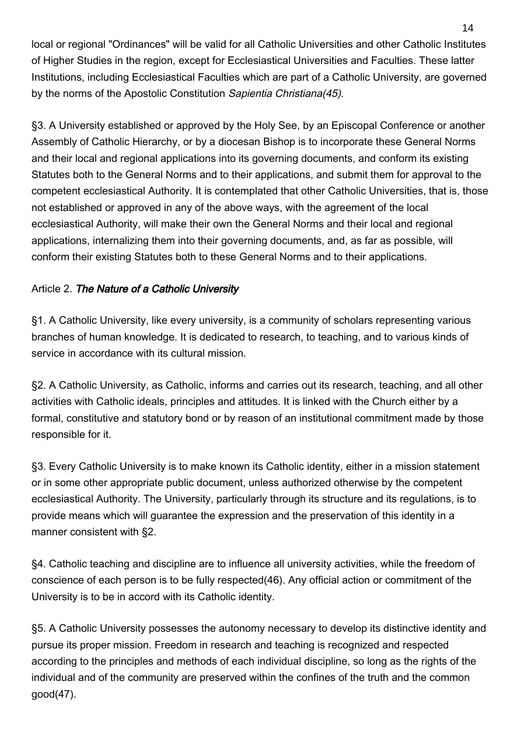local or regional "Ordinances" will be valid for all Catholic Universities and other Catholic Institutes of Higher Studies in the region, except for Ecclesiastical Universities and Faculties. These latter Institutions, including Ecclesiastical Faculties which are part of a Catholic University, are governed by the norms of the Apostolic Constitution Sapientia Christiana(45).

§3. A University established or approved by the Holy See, by an Episcopal Conference or another Assembly of Catholic Hierarchy, or by a diocesan Bishop is to incorporate these General Norms and their local and regional applications into its governing documents, and conform its existing Statutes both to the General Norms and to their applications, and submit them for approval to the competent ecclesiastical Authority. It is contemplated that other Catholic Universities, that is, those not established or approved in any of the above ways, with the agreement of the local ecclesiastical Authority, will make their own the General Norms and their local and regional applications, internalizing them into their governing documents, and, as far as possible, will conform their existing Statutes both to these General Norms and to their applications.

## Article 2. The Nature of a Catholic University

§1. A Catholic University, like every university, is a community of scholars representing various branches of human knowledge. It is dedicated to research, to teaching, and to various kinds of service in accordance with its cultural mission.

§2. A Catholic University, as Catholic, informs and carries out its research, teaching, and all other activities with Catholic ideals, principles and attitudes. It is linked with the Church either by a formal, constitutive and statutory bond or by reason of an institutional commitment made by those responsible for it.

§3. Every Catholic University is to make known its Catholic identity, either in a mission statement or in some other appropriate public document, unless authorized otherwise by the competent ecclesiastical Authority. The University, particularly through its structure and its regulations, is to provide means which will guarantee the expression and the preservation of this identity in a manner consistent with §2.

§4. Catholic teaching and discipline are to influence all university activities, while the freedom of conscience of each person is to be fully respected(46). Any official action or commitment of the University is to be in accord with its Catholic identity.

§5. A Catholic University possesses the autonomy necessary to develop its distinctive identity and pursue its proper mission. Freedom in research and teaching is recognized and respected according to the principles and methods of each individual discipline, so long as the rights of the individual and of the community are preserved within the confines of the truth and the common good(47).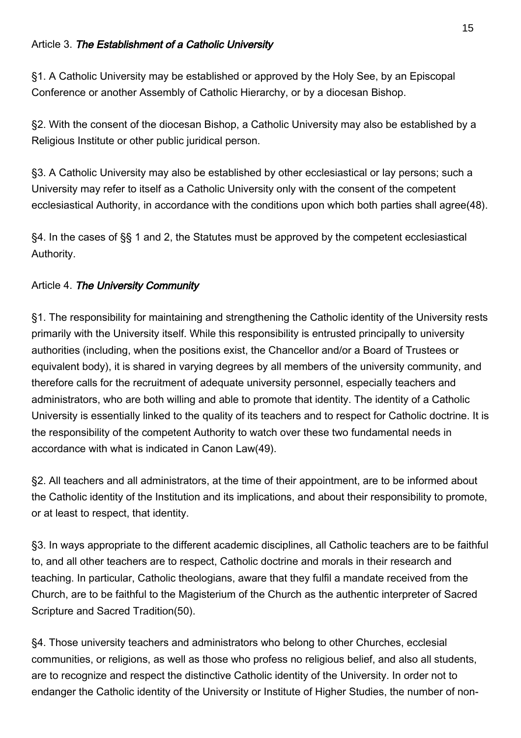### Article 3. The Establishment of a Catholic University

§1. A Catholic University may be established or approved by the Holy See, by an Episcopal Conference or another Assembly of Catholic Hierarchy, or by a diocesan Bishop.

§2. With the consent of the diocesan Bishop, a Catholic University may also be established by a Religious Institute or other public juridical person.

§3. A Catholic University may also be established by other ecclesiastical or lay persons; such a University may refer to itself as a Catholic University only with the consent of the competent ecclesiastical Authority, in accordance with the conditions upon which both parties shall agree(48).

§4. In the cases of §§ 1 and 2, the Statutes must be approved by the competent ecclesiastical Authority.

### Article 4. The University Community

§1. The responsibility for maintaining and strengthening the Catholic identity of the University rests primarily with the University itself. While this responsibility is entrusted principally to university authorities (including, when the positions exist, the Chancellor and/or a Board of Trustees or equivalent body), it is shared in varying degrees by all members of the university community, and therefore calls for the recruitment of adequate university personnel, especially teachers and administrators, who are both willing and able to promote that identity. The identity of a Catholic University is essentially linked to the quality of its teachers and to respect for Catholic doctrine. It is the responsibility of the competent Authority to watch over these two fundamental needs in accordance with what is indicated in Canon Law(49).

§2. All teachers and all administrators, at the time of their appointment, are to be informed about the Catholic identity of the Institution and its implications, and about their responsibility to promote, or at least to respect, that identity.

§3. In ways appropriate to the different academic disciplines, all Catholic teachers are to be faithful to, and all other teachers are to respect, Catholic doctrine and morals in their research and teaching. In particular, Catholic theologians, aware that they fulfil a mandate received from the Church, are to be faithful to the Magisterium of the Church as the authentic interpreter of Sacred Scripture and Sacred Tradition(50).

§4. Those university teachers and administrators who belong to other Churches, ecclesial communities, or religions, as well as those who profess no religious belief, and also all students, are to recognize and respect the distinctive Catholic identity of the University. In order not to endanger the Catholic identity of the University or Institute of Higher Studies, the number of non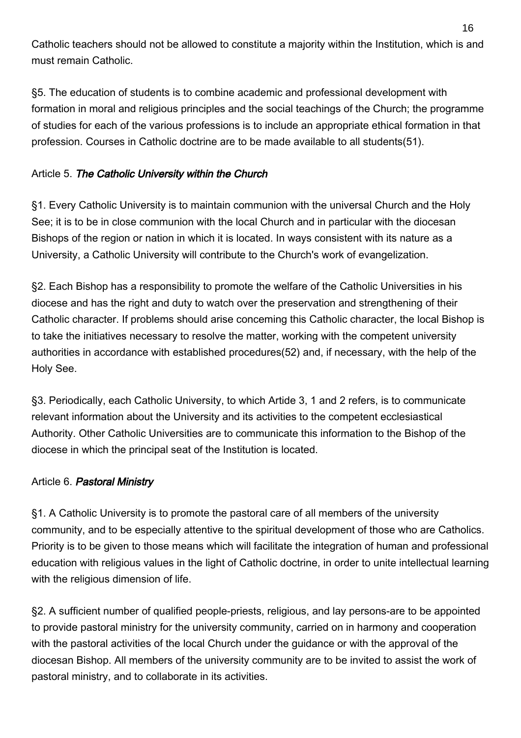Catholic teachers should not be allowed to constitute a majority within the Institution, which is and must remain Catholic.

§5. The education of students is to combine academic and professional development with formation in moral and religious principles and the social teachings of the Church; the programme of studies for each of the various professions is to include an appropriate ethical formation in that profession. Courses in Catholic doctrine are to be made available to all students(51).

# Article 5. The Catholic University within the Church

§1. Every Catholic University is to maintain communion with the universal Church and the Holy See; it is to be in close communion with the local Church and in particular with the diocesan Bishops of the region or nation in which it is located. In ways consistent with its nature as a University, a Catholic University will contribute to the Church's work of evangelization.

§2. Each Bishop has a responsibility to promote the welfare of the Catholic Universities in his diocese and has the right and duty to watch over the preservation and strengthening of their Catholic character. If problems should arise conceming this Catholic character, the local Bishop is to take the initiatives necessary to resolve the matter, working with the competent university authorities in accordance with established procedures(52) and, if necessary, with the help of the Holy See.

§3. Periodically, each Catholic University, to which Artide 3, 1 and 2 refers, is to communicate relevant information about the University and its activities to the competent ecclesiastical Authority. Other Catholic Universities are to communicate this information to the Bishop of the diocese in which the principal seat of the Institution is located.

## Article 6. Pastoral Ministry

§1. A Catholic University is to promote the pastoral care of all members of the university community, and to be especially attentive to the spiritual development of those who are Catholics. Priority is to be given to those means which will facilitate the integration of human and professional education with religious values in the light of Catholic doctrine, in order to unite intellectual learning with the religious dimension of life.

§2. A sufficient number of qualified people-priests, religious, and lay persons-are to be appointed to provide pastoral ministry for the university community, carried on in harmony and cooperation with the pastoral activities of the local Church under the guidance or with the approval of the diocesan Bishop. All members of the university community are to be invited to assist the work of pastoral ministry, and to collaborate in its activities.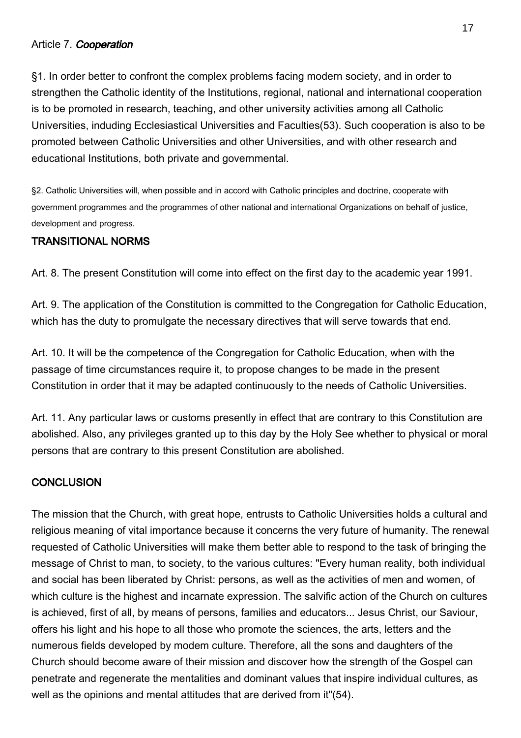### Article 7. Cooperation

§1. In order better to confront the complex problems facing modern society, and in order to strengthen the Catholic identity of the Institutions, regional, national and international cooperation is to be promoted in research, teaching, and other university activities among all Catholic Universities, induding Ecclesiastical Universities and Faculties(53). Such cooperation is also to be promoted between Catholic Universities and other Universities, and with other research and educational Institutions, both private and governmental.

§2. Catholic Universities will, when possible and in accord with Catholic principles and doctrine, cooperate with government programmes and the programmes of other national and international Organizations on behalf of justice, development and progress.

### TRANSITIONAL NORMS

Art. 8. The present Constitution will come into effect on the first day to the academic year 1991.

Art. 9. The application of the Constitution is committed to the Congregation for Catholic Education, which has the duty to promulgate the necessary directives that will serve towards that end.

Art. 10. It will be the competence of the Congregation for Catholic Education, when with the passage of time circumstances require it, to propose changes to be made in the present Constitution in order that it may be adapted continuously to the needs of Catholic Universities.

Art. 11. Any particular laws or customs presently in effect that are contrary to this Constitution are abolished. Also, any privileges granted up to this day by the Holy See whether to physical or moral persons that are contrary to this present Constitution are abolished.

### **CONCLUSION**

The mission that the Church, with great hope, entrusts to Catholic Universities holds a cultural and religious meaning of vital importance because it concerns the very future of humanity. The renewal requested of Catholic Universities will make them better able to respond to the task of bringing the message of Christ to man, to society, to the various cultures: "Every human reality, both individual and social has been liberated by Christ: persons, as well as the activities of men and women, of which culture is the highest and incarnate expression. The salvific action of the Church on cultures is achieved, first of all, by means of persons, families and educators... Jesus Christ, our Saviour, offers his light and his hope to all those who promote the sciences, the arts, letters and the numerous fields developed by modem culture. Therefore, all the sons and daughters of the Church should become aware of their mission and discover how the strength of the Gospel can penetrate and regenerate the mentalities and dominant values that inspire individual cultures, as well as the opinions and mental attitudes that are derived from it"(54).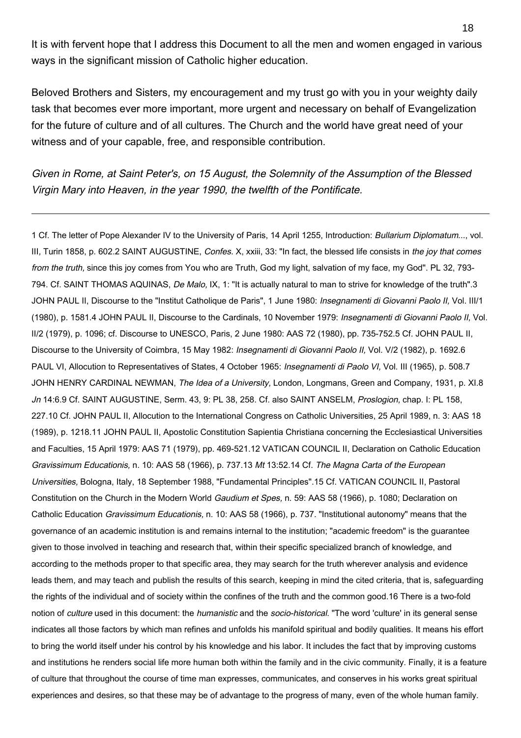It is with fervent hope that I address this Document to all the men and women engaged in various ways in the significant mission of Catholic higher education.

Beloved Brothers and Sisters, my encouragement and my trust go with you in your weighty daily task that becomes ever more important, more urgent and necessary on behalf of Evangelization for the future of culture and of all cultures. The Church and the world have great need of your witness and of your capable, free, and responsible contribution.

Given in Rome, at Saint Peter's, on 15 August, the Solemnity of the Assumption of the Blessed Virgin Mary into Heaven, in the year 1990, the twelfth of the Pontificate.

1 Cf. The letter of Pope Alexander IV to the University of Paris, 14 April 1255, Introduction: Bullarium Diplomatum..., vol. III, Turin 1858, p. 602.2 SAINT AUGUSTINE, Confes. X, xxiii, 33: "In fact, the blessed life consists in the joy that comes from the truth, since this joy comes from You who are Truth, God my light, salvation of my face, my God". PL 32, 793-794. Cf. SAINT THOMAS AQUINAS, De Malo, IX, 1: "It is actually natural to man to strive for knowledge of the truth".3 JOHN PAUL II, Discourse to the "Institut Catholique de Paris", 1 June 1980: Insegnamenti di Giovanni Paolo II, Vol. III/1 (1980), p. 1581.4 JOHN PAUL II, Discourse to the Cardinals, 10 November 1979: Insegnamenti di Giovanni Paolo II, Vol. II/2 (1979), p. 1096; cf. Discourse to UNESCO, Paris, 2 June 1980: AAS 72 (1980), pp. 735-752.5 Cf. JOHN PAUL II, Discourse to the University of Coimbra, 15 May 1982: Insegnamenti di Giovanni Paolo II, Vol. V/2 (1982), p. 1692.6 PAUL VI, Allocution to Representatives of States, 4 October 1965: Insegnamenti di Paolo VI, Vol. III (1965), p. 508.7 JOHN HENRY CARDINAL NEWMAN, The Idea of a University, London, Longmans, Green and Company, 1931, p. XI.8 Jn 14:6.9 Cf. SAINT AUGUSTINE, Serm. 43, 9: PL 38, 258, Cf. also SAINT ANSELM, Proslogion, chap. I: PL 158, 227.10 Cf. JOHN PAUL II, Allocution to the International Congress on Catholic Universities, 25 April 1989, n. 3: AAS 18 (1989), p. 1218.11 JOHN PAUL II, Apostolic Constitution Sapientia Christiana concerning the Ecclesiastical Universities and Faculties, 15 April 1979: AAS 71 (1979), pp. 469-521.12 VATICAN COUNCIL II, Declaration on Catholic Education Gravissimum Educationis, n. 10: AAS 58 (1966), p. 737.13 Mt 13:52.14 Cf. The Magna Carta of the European Universities, Bologna, Italy, 18 September 1988, "Fundamental Principles".15 Cf. VATICAN COUNCIL II, Pastoral Constitution on the Church in the Modern World Gaudium et Spes, n. 59: AAS 58 (1966), p. 1080; Declaration on Catholic Education Gravissimum Educationis, n. 10: AAS 58 (1966), p. 737. "Institutional autonomy" means that the governance of an academic institution is and remains internal to the institution; "academic freedom" is the guarantee given to those involved in teaching and research that, within their specific specialized branch of knowledge, and according to the methods proper to that specific area, they may search for the truth wherever analysis and evidence leads them, and may teach and publish the results of this search, keeping in mind the cited criteria, that is, safeguarding the rights of the individual and of society within the confines of the truth and the common good.16 There is a two-fold notion of *culture* used in this document: the *humanistic* and the *socio-historical*. "The word 'culture' in its general sense indicates all those factors by which man refines and unfolds his manifold spiritual and bodily qualities. It means his effort to bring the world itself under his control by his knowledge and his labor. It includes the fact that by improving customs and institutions he renders social life more human both within the family and in the civic community. Finally, it is a feature of culture that throughout the course of time man expresses, communicates, and conserves in his works great spiritual experiences and desires, so that these may be of advantage to the progress of many, even of the whole human family.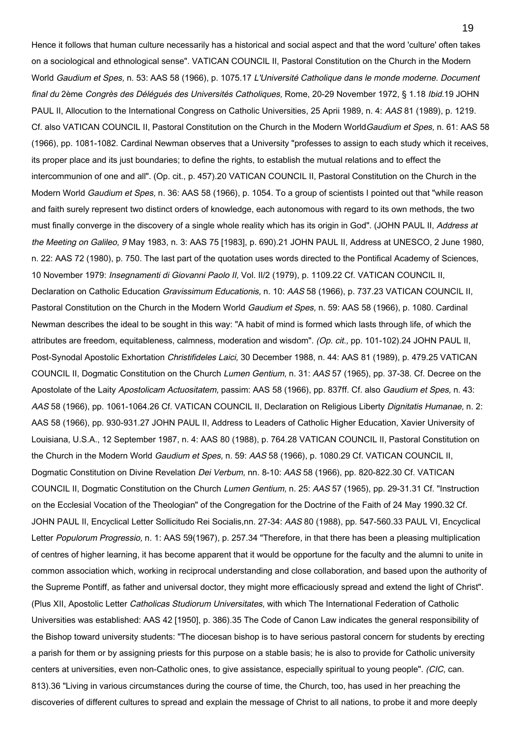Hence it follows that human culture necessarily has a historical and social aspect and that the word 'culture' often takes on a sociological and ethnological sense". VATICAN COUNCIL II, Pastoral Constitution on the Church in the Modern World Gaudium et Spes, n. 53: AAS 58 (1966), p. 1075.17 L'Université Catholique dans le monde moderne. Document final du 2ème Congrès des Délégués des Universités Catholiques, Rome, 20-29 November 1972, § 1.18 Ibid.19 JOHN PAUL II, Allocution to the International Congress on Catholic Universities, 25 Aprii 1989, n. 4: AAS 81 (1989), p. 1219. Cf. also VATICAN COUNCIL II, Pastoral Constitution on the Church in the Modern World Gaudium et Spes, n. 61: AAS 58 (1966), pp. 1081-1082. Cardinal Newman observes that a University "professes to assign to each study which it receives, its proper place and its just boundaries; to define the rights, to establish the mutual relations and to effect the intercommunion of one and all". (Op. cit., p. 457).20 VATICAN COUNCIL II, Pastoral Constitution on the Church in the Modern World Gaudium et Spes, n. 36: AAS 58 (1966), p. 1054. To a group of scientists I pointed out that "while reason and faith surely represent two distinct orders of knowledge, each autonomous with regard to its own methods, the two must finally converge in the discovery of a single whole reality which has its origin in God". (JOHN PAUL II, Address at the Meeting on Galileo, 9 May 1983, n. 3: AAS 75 [1983], p. 690).21 JOHN PAUL II, Address at UNESCO, 2 June 1980, n. 22: AAS 72 (1980), p. 750. The last part of the quotation uses words directed to the Pontifical Academy of Sciences, 10 November 1979: Insegnamenti di Giovanni Paolo II, Vol. II/2 (1979), p. 1109.22 Cf. VATICAN COUNCIL II, Declaration on Catholic Education Gravissimum Educationis, n. 10: AAS 58 (1966), p. 737.23 VATICAN COUNCIL II, Pastoral Constitution on the Church in the Modern World Gaudium et Spes, n. 59: AAS 58 (1966), p. 1080. Cardinal Newman describes the ideal to be sought in this way: "A habit of mind is formed which lasts through life, of which the attributes are freedom, equitableness, calmness, moderation and wisdom". (Op. cit., pp. 101-102).24 JOHN PAUL II, Post-Synodal Apostolic Exhortation Christifideles Laici, 30 December 1988, n. 44: AAS 81 (1989), p. 479.25 VATICAN COUNCIL II, Dogmatic Constitution on the Church Lumen Gentium, n. 31: AAS 57 (1965), pp. 37-38. Cf. Decree on the Apostolate of the Laity Apostolicam Actuositatem, passim: AAS 58 (1966), pp. 837ff. Cf. also Gaudium et Spes, n. 43: AAS 58 (1966), pp. 1061-1064.26 Cf. VATICAN COUNCIL II, Declaration on Religious Liberty Dignitatis Humanae, n. 2: AAS 58 (1966), pp. 930-931.27 JOHN PAUL II, Address to Leaders of Catholic Higher Education, Xavier University of Louisiana, U.S.A., 12 September 1987, n. 4: AAS 80 (1988), p. 764.28 VATICAN COUNCIL II, Pastoral Constitution on the Church in the Modern World Gaudium et Spes, n. 59: AAS 58 (1966), p. 1080.29 Cf. VATICAN COUNCIL II, Dogmatic Constitution on Divine Revelation Dei Verbum, nn. 8-10: AAS 58 (1966), pp. 820-822.30 Cf. VATICAN COUNCIL II, Dogmatic Constitution on the Church Lumen Gentium, n. 25: AAS 57 (1965), pp. 29-31.31 Cf. "Instruction on the Ecclesial Vocation of the Theologian" of the Congregation for the Doctrine of the Faith of 24 May 1990.32 Cf. JOHN PAUL II, Encyclical Letter Sollicitudo Rei Socialis,nn. 27-34: AAS 80 (1988), pp. 547-560.33 PAUL VI, Encyclical Letter Populorum Progressio, n. 1: AAS 59(1967), p. 257.34 "Therefore, in that there has been a pleasing multiplication of centres of higher learning, it has become apparent that it would be opportune for the faculty and the alumni to unite in common association which, working in reciprocal understanding and close collaboration, and based upon the authority of the Supreme Pontiff, as father and universal doctor, they might more efficaciously spread and extend the light of Christ". (Plus XII, Apostolic Letter Catholicas Studiorum Universitates, with which The International Federation of Catholic Universities was established: AAS 42 [1950], p. 386).35 The Code of Canon Law indicates the general responsibility of the Bishop toward university students: "The diocesan bishop is to have serious pastoral concern for students by erecting a parish for them or by assigning priests for this purpose on a stable basis; he is also to provide for Catholic university centers at universities, even non-Catholic ones, to give assistance, especially spiritual to young people". (CIC, can. 813).36 "Living in various circumstances during the course of time, the Church, too, has used in her preaching the discoveries of different cultures to spread and explain the message of Christ to all nations, to probe it and more deeply

19